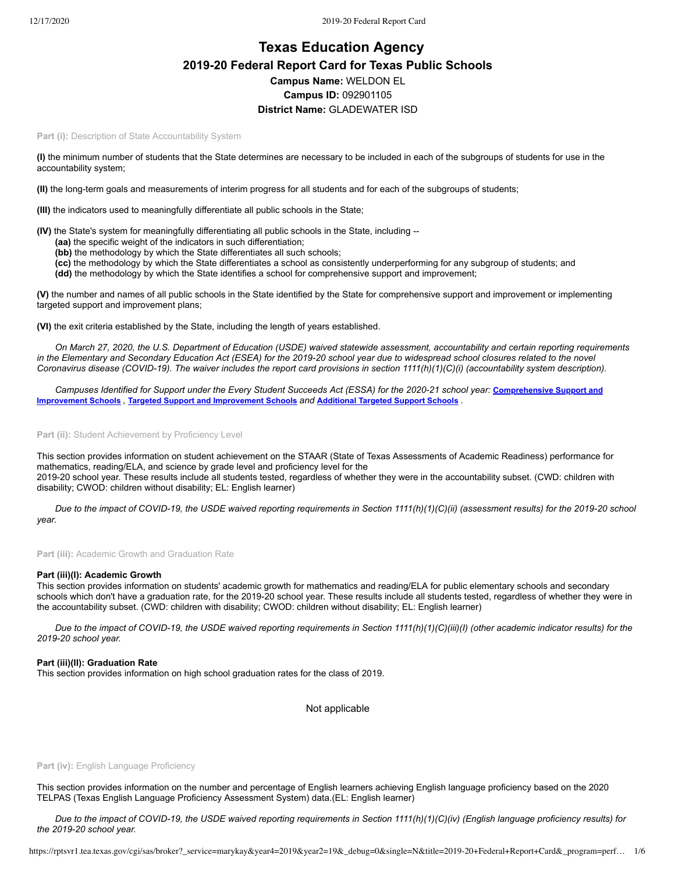# **Texas Education Agency 2019-20 Federal Report Card for Texas Public Schools Campus Name:** WELDON EL **Campus ID:** 092901105 **District Name:** GLADEWATER ISD

Part (i): Description of State Accountability System

**(I)** the minimum number of students that the State determines are necessary to be included in each of the subgroups of students for use in the accountability system;

**(II)** the long-term goals and measurements of interim progress for all students and for each of the subgroups of students;

**(III)** the indicators used to meaningfully differentiate all public schools in the State;

**(IV)** the State's system for meaningfully differentiating all public schools in the State, including --

- **(aa)** the specific weight of the indicators in such differentiation;
- **(bb)** the methodology by which the State differentiates all such schools;
- **(cc)** the methodology by which the State differentiates a school as consistently underperforming for any subgroup of students; and

**(dd)** the methodology by which the State identifies a school for comprehensive support and improvement;

**(V)** the number and names of all public schools in the State identified by the State for comprehensive support and improvement or implementing targeted support and improvement plans;

**(VI)** the exit criteria established by the State, including the length of years established.

*On March 27, 2020, the U.S. Department of Education (USDE) waived statewide assessment, accountability and certain reporting requirements in the Elementary and Secondary Education Act (ESEA) for the 2019-20 school year due to widespread school closures related to the novel Coronavirus disease (COVID-19). The waiver includes the report card provisions in section 1111(h)(1)(C)(i) (accountability system description).*

*[Campuses Identified for Support under the Every Student Succeeds Act \(ESSA\) for the 2020-21 school year:](https://tea.texas.gov/sites/default/files/comprehensive_support_2020.xlsx)* **Comprehensive Support and Improvement Schools** *,* **Targeted Support and [Improvement](https://tea.texas.gov/sites/default/files/targeted_support_2020.xlsx) Schools** *and* **[Additional](https://tea.texas.gov/sites/default/files/additional_targeted_support_2020.xlsx) Targeted Support Schools** *.*

Part (ii): Student Achievement by Proficiency Level

This section provides information on student achievement on the STAAR (State of Texas Assessments of Academic Readiness) performance for mathematics, reading/ELA, and science by grade level and proficiency level for the 2019-20 school year. These results include all students tested, regardless of whether they were in the accountability subset. (CWD: children with disability; CWOD: children without disability; EL: English learner)

*Due to the impact of COVID-19, the USDE waived reporting requirements in Section 1111(h)(1)(C)(ii) (assessment results) for the 2019-20 school year.*

Part (iii): Academic Growth and Graduation Rate

#### **Part (iii)(I): Academic Growth**

This section provides information on students' academic growth for mathematics and reading/ELA for public elementary schools and secondary schools which don't have a graduation rate, for the 2019-20 school year. These results include all students tested, regardless of whether they were in the accountability subset. (CWD: children with disability; CWOD: children without disability; EL: English learner)

*Due to the impact of COVID-19, the USDE waived reporting requirements in Section 1111(h)(1)(C)(iii)(I) (other academic indicator results) for the 2019-20 school year.*

#### **Part (iii)(II): Graduation Rate**

This section provides information on high school graduation rates for the class of 2019.

Not applicable

#### Part (iv): English Language Proficiency

This section provides information on the number and percentage of English learners achieving English language proficiency based on the 2020 TELPAS (Texas English Language Proficiency Assessment System) data.(EL: English learner)

*Due to the impact of COVID-19, the USDE waived reporting requirements in Section 1111(h)(1)(C)(iv) (English language proficiency results) for the 2019-20 school year.*

https://rptsvr1.tea.texas.gov/cgi/sas/broker?\_service=marykay&year4=2019&year2=19&\_debug=0&single=N&title=2019-20+Federal+Report+Card&\_program=perf… 1/6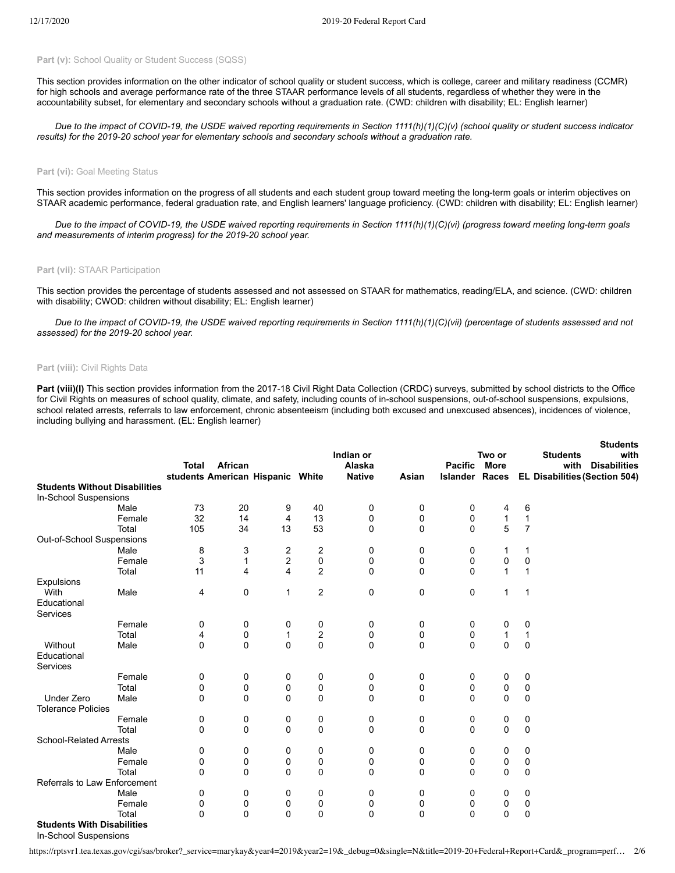## Part (v): School Quality or Student Success (SQSS)

This section provides information on the other indicator of school quality or student success, which is college, career and military readiness (CCMR) for high schools and average performance rate of the three STAAR performance levels of all students, regardless of whether they were in the accountability subset, for elementary and secondary schools without a graduation rate. (CWD: children with disability; EL: English learner)

*Due to the impact of COVID-19, the USDE waived reporting requirements in Section 1111(h)(1)(C)(v) (school quality or student success indicator results) for the 2019-20 school year for elementary schools and secondary schools without a graduation rate.*

#### Part (vi): Goal Meeting Status

This section provides information on the progress of all students and each student group toward meeting the long-term goals or interim objectives on STAAR academic performance, federal graduation rate, and English learners' language proficiency. (CWD: children with disability; EL: English learner)

*Due to the impact of COVID-19, the USDE waived reporting requirements in Section 1111(h)(1)(C)(vi) (progress toward meeting long-term goals and measurements of interim progress) for the 2019-20 school year.*

#### **Part (vii):** STAAR Participation

This section provides the percentage of students assessed and not assessed on STAAR for mathematics, reading/ELA, and science. (CWD: children with disability; CWOD: children without disability; EL: English learner)

*Due to the impact of COVID-19, the USDE waived reporting requirements in Section 1111(h)(1)(C)(vii) (percentage of students assessed and not assessed) for the 2019-20 school year.*

#### **Part (viii):** Civil Rights Data

Part (viii)(I) This section provides information from the 2017-18 Civil Right Data Collection (CRDC) surveys, submitted by school districts to the Office for Civil Rights on measures of school quality, climate, and safety, including counts of in-school suspensions, out-of-school suspensions, expulsions, school related arrests, referrals to law enforcement, chronic absenteeism (including both excused and unexcused absences), incidences of violence, including bullying and harassment. (EL: English learner)

**Students**

|                                      |        |              |          |                                  |                  | Indian or     |             |                       | Two or      |                | <b>Students</b><br><b>Students</b><br>with |
|--------------------------------------|--------|--------------|----------|----------------------------------|------------------|---------------|-------------|-----------------------|-------------|----------------|--------------------------------------------|
|                                      |        | <b>Total</b> | African  |                                  |                  | Alaska        |             | <b>Pacific</b>        | <b>More</b> |                | <b>Disabilities</b><br>with                |
|                                      |        |              |          | students American Hispanic White |                  | <b>Native</b> | Asian       | <b>Islander Races</b> |             |                | EL Disabilities (Section 504)              |
| <b>Students Without Disabilities</b> |        |              |          |                                  |                  |               |             |                       |             |                |                                            |
| In-School Suspensions                |        |              |          |                                  |                  |               |             |                       |             |                |                                            |
|                                      | Male   | 73           | 20       | 9                                | 40               | 0             | 0           | 0                     | 4           | 6              |                                            |
|                                      | Female | 32           | 14       | 4                                | 13               | 0             | 0           | 0                     | 1           | $\mathbf{1}$   |                                            |
|                                      | Total  | 105          | 34       | 13                               | 53               | 0             | 0           | 0                     | 5           | $\overline{7}$ |                                            |
| Out-of-School Suspensions            |        |              |          |                                  |                  |               |             |                       |             |                |                                            |
|                                      | Male   | 8            | 3        | 2                                | 2                | 0             | 0           | 0                     | 1           | 1              |                                            |
|                                      | Female | 3            | 1        | $\boldsymbol{2}$                 | 0                | 0             | 0           | 0                     | 0           | 0              |                                            |
|                                      | Total  | 11           | 4        | 4                                | $\overline{2}$   | 0             | 0           | 0                     | 1           | 1              |                                            |
| Expulsions                           |        |              |          |                                  |                  |               |             |                       |             |                |                                            |
| With                                 | Male   | 4            | 0        | $\mathbf{1}$                     | $\overline{2}$   | 0             | 0           | 0                     | 1           | $\mathbf 1$    |                                            |
| Educational                          |        |              |          |                                  |                  |               |             |                       |             |                |                                            |
| Services                             |        |              |          |                                  |                  |               |             |                       |             |                |                                            |
|                                      | Female | 0            | 0        | 0                                | 0                | 0             | 0           | 0                     | 0           | 0              |                                            |
|                                      | Total  | 4            | 0        | 1                                | $\boldsymbol{2}$ | 0             | 0           | 0                     | 1           | 1              |                                            |
| Without                              | Male   | 0            | $\Omega$ | 0                                | 0                | 0             | 0           | 0                     | 0           | $\mathbf 0$    |                                            |
| Educational                          |        |              |          |                                  |                  |               |             |                       |             |                |                                            |
| Services                             |        |              |          |                                  |                  |               |             |                       |             |                |                                            |
|                                      | Female | 0            | 0        | 0                                | 0                | 0             | 0           | 0                     | 0           | 0              |                                            |
|                                      | Total  | $\mathbf 0$  | 0        | 0                                | 0                | 0             | 0           | 0                     | 0           | 0              |                                            |
| <b>Under Zero</b>                    | Male   | $\mathbf 0$  | 0        | $\Omega$                         | $\Omega$         | 0             | $\mathbf 0$ | $\Omega$              | $\Omega$    | $\mathbf 0$    |                                            |
| <b>Tolerance Policies</b>            |        |              |          |                                  |                  |               |             |                       |             |                |                                            |
|                                      | Female | 0            | 0        | 0                                | 0                | 0             | 0           | 0                     | 0           | 0              |                                            |
|                                      | Total  | $\Omega$     | $\Omega$ | $\Omega$                         | 0                | 0             | 0           | 0                     | $\Omega$    | 0              |                                            |
| <b>School-Related Arrests</b>        |        |              |          |                                  |                  |               |             |                       |             |                |                                            |
|                                      | Male   | 0            | 0        | 0                                | 0                | 0             | 0           | 0                     | 0           | 0              |                                            |
|                                      | Female | 0            | 0        | 0                                | 0                | 0             | 0           | 0                     | 0           | 0              |                                            |
|                                      | Total  | $\Omega$     | $\Omega$ | $\Omega$                         | $\Omega$         | $\Omega$      | 0           | 0                     | $\Omega$    | 0              |                                            |
| Referrals to Law Enforcement         |        |              |          |                                  |                  |               |             |                       |             |                |                                            |
|                                      | Male   | 0            | 0        | 0                                | 0                | 0             | 0           | 0                     | 0           | 0              |                                            |
|                                      | Female | 0            | 0        | 0                                | 0                | 0             | 0           | 0                     | 0           | 0              |                                            |
|                                      | Total  | 0            | 0        | $\mathbf 0$                      | 0                | $\mathbf 0$   | 0           | 0                     | 0           | 0              |                                            |
| <b>Students With Disabilities</b>    |        |              |          |                                  |                  |               |             |                       |             |                |                                            |

In-School Suspensions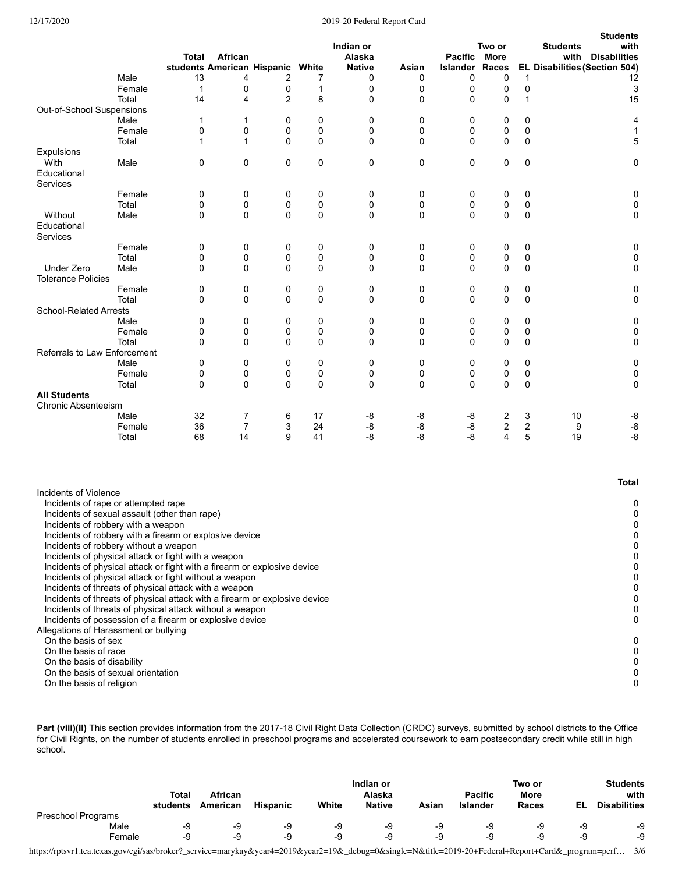## 12/17/2020 2019-20 Federal Report Card

|                                                                                                               |        | <b>Total</b> | African        | students American Hispanic White |          | Indian or<br>Alaska<br><b>Native</b> | Asian       | <b>Pacific</b><br>Islander | Two or<br><b>More</b><br>Races |                  | <b>Students</b><br><b>Students</b><br>with<br><b>Disabilities</b><br>with<br>EL Disabilities (Section 504) |
|---------------------------------------------------------------------------------------------------------------|--------|--------------|----------------|----------------------------------|----------|--------------------------------------|-------------|----------------------------|--------------------------------|------------------|------------------------------------------------------------------------------------------------------------|
|                                                                                                               | Male   | 13           | 4              | 2                                | 7        | 0                                    | 0           | 0                          | 0                              | $\mathbf{1}$     | 12                                                                                                         |
|                                                                                                               | Female | $\mathbf{1}$ | 0              | 0                                | 1        | 0                                    | $\mathbf 0$ | 0                          | 0                              | $\pmb{0}$        | 3                                                                                                          |
|                                                                                                               | Total  | 14           | 4              | 2                                | 8        | 0                                    | 0           | 0                          | 0                              | 1                | 15                                                                                                         |
| Out-of-School Suspensions                                                                                     |        |              |                |                                  |          |                                      |             |                            |                                |                  |                                                                                                            |
|                                                                                                               | Male   | $\mathbf 1$  | $\mathbf{1}$   | 0                                | 0        | 0                                    | 0           | 0                          | 0                              | $\mathbf 0$      | 4                                                                                                          |
|                                                                                                               | Female | 0            | 0              | 0                                | 0        | 0                                    | 0           | 0                          | 0                              | 0                | 1                                                                                                          |
|                                                                                                               | Total  | 1            | $\mathbf{1}$   | $\Omega$                         | 0        | $\Omega$                             | $\Omega$    | $\mathbf 0$                | 0                              | $\Omega$         | 5                                                                                                          |
| Expulsions                                                                                                    |        |              |                |                                  |          |                                      |             |                            |                                |                  |                                                                                                            |
| With<br>Educational<br>Services                                                                               | Male   | 0            | $\mathbf 0$    | 0                                | 0        | 0                                    | $\mathbf 0$ | 0                          | 0                              | 0                | 0                                                                                                          |
|                                                                                                               | Female | 0            | $\mathbf 0$    | 0                                | 0        | 0                                    | $\mathbf 0$ | 0                          | 0                              | 0                | 0                                                                                                          |
|                                                                                                               | Total  | 0            | $\mathbf 0$    | 0                                | 0        | 0                                    | 0           | 0                          | 0                              | $\mathbf 0$      | $\mathbf 0$                                                                                                |
| Without<br>Educational<br>Services                                                                            | Male   | $\Omega$     | $\Omega$       | $\Omega$                         | $\Omega$ | 0                                    | $\Omega$    | $\Omega$                   | $\Omega$                       | 0                | 0                                                                                                          |
|                                                                                                               | Female | 0            | 0              | 0                                | 0        | 0                                    | $\mathbf 0$ | 0                          | 0                              | 0                | 0                                                                                                          |
|                                                                                                               | Total  | 0            | $\pmb{0}$      | 0                                | 0        | 0                                    | $\mathbf 0$ | 0                          | 0                              | $\mathbf 0$      | 0                                                                                                          |
| <b>Under Zero</b><br><b>Tolerance Policies</b>                                                                | Male   | $\mathbf 0$  | 0              | 0                                | 0        | 0                                    | $\mathbf 0$ | 0                          | 0                              | 0                | 0                                                                                                          |
|                                                                                                               | Female | 0            | 0              | 0                                | 0        | 0                                    | 0           | 0                          | 0                              | 0                | 0                                                                                                          |
|                                                                                                               | Total  | $\Omega$     | 0              | 0                                | 0        | 0                                    | $\mathbf 0$ | 0                          | 0                              | $\mathbf 0$      | 0                                                                                                          |
| <b>School-Related Arrests</b>                                                                                 |        |              |                |                                  |          |                                      |             |                            |                                |                  |                                                                                                            |
|                                                                                                               | Male   | 0            | 0              | 0                                | 0        | 0                                    | 0           | 0                          | 0                              | 0                | 0                                                                                                          |
|                                                                                                               | Female | 0            | 0              | 0                                | 0        | 0                                    | $\mathbf 0$ | 0                          | 0                              | $\mathbf 0$      | 0                                                                                                          |
|                                                                                                               | Total  | $\Omega$     | $\mathbf 0$    | 0                                | 0        | 0                                    | $\mathbf 0$ | 0                          | 0                              | $\mathbf 0$      | 0                                                                                                          |
| Referrals to Law Enforcement                                                                                  |        |              |                |                                  |          |                                      |             |                            |                                |                  |                                                                                                            |
|                                                                                                               | Male   | 0            | 0              | 0                                | 0        | 0                                    | $\mathbf 0$ | 0                          | 0                              | 0                | 0                                                                                                          |
|                                                                                                               | Female | 0            | 0              | 0                                | 0        | 0                                    | 0           | 0                          | 0                              | $\mathbf 0$      | 0                                                                                                          |
|                                                                                                               | Total  | $\Omega$     | 0              | 0                                | $\Omega$ | $\mathbf{0}$                         | $\Omega$    | 0                          | 0                              | $\mathbf 0$      | $\mathbf 0$                                                                                                |
| <b>All Students</b>                                                                                           |        |              |                |                                  |          |                                      |             |                            |                                |                  |                                                                                                            |
| <b>Chronic Absenteeism</b>                                                                                    |        |              |                |                                  |          |                                      |             |                            |                                |                  |                                                                                                            |
|                                                                                                               | Male   | 32           | $\overline{7}$ | 6                                | 17       | -8                                   | -8          | -8                         | 2                              | 3                | 10<br>-8                                                                                                   |
|                                                                                                               | Female | 36           | $\overline{7}$ | 3                                | 24       | -8                                   | -8          | $-8$                       | 2                              | $\boldsymbol{2}$ | $\textnormal{-}8$<br>9                                                                                     |
|                                                                                                               | Total  | 68           | 14             | 9                                | 41       | -8                                   | $-8$        | -8                         | $\overline{4}$                 | 5                | $-8$<br>19                                                                                                 |
|                                                                                                               |        |              |                |                                  |          |                                      |             |                            |                                |                  | <b>Total</b>                                                                                               |
| Incidents of Violence<br>Incidents of rape or attempted rape<br>Incidents of sexual assault (other than rane) |        |              |                |                                  |          |                                      |             |                            |                                |                  | 0<br>$\Omega$                                                                                              |

| Incidents of sexual assault (other than rape)                              | 0 |
|----------------------------------------------------------------------------|---|
| Incidents of robbery with a weapon                                         |   |
| Incidents of robbery with a firearm or explosive device                    |   |
| Incidents of robbery without a weapon                                      |   |
| Incidents of physical attack or fight with a weapon                        |   |
| Incidents of physical attack or fight with a firearm or explosive device   |   |
| Incidents of physical attack or fight without a weapon                     |   |
| Incidents of threats of physical attack with a weapon                      |   |
| Incidents of threats of physical attack with a firearm or explosive device |   |
| Incidents of threats of physical attack without a weapon                   |   |
| Incidents of possession of a firearm or explosive device                   | 0 |
| Allegations of Harassment or bullying                                      |   |
| On the basis of sex                                                        | 0 |
| On the basis of race                                                       |   |
| On the basis of disability                                                 |   |
| On the basis of sexual orientation                                         |   |
| On the basis of religion                                                   |   |
|                                                                            |   |

Part (viii)(II) This section provides information from the 2017-18 Civil Right Data Collection (CRDC) surveys, submitted by school districts to the Office for Civil Rights, on the number of students enrolled in preschool programs and accelerated coursework to earn postsecondary credit while still in high school.

|                    |              | <b>African</b><br>American |                 |       | Indian or     |       |                | Two or       |    | <b>Students</b>     |  |
|--------------------|--------------|----------------------------|-----------------|-------|---------------|-------|----------------|--------------|----|---------------------|--|
|                    | <b>Total</b> |                            |                 |       | Alaska        |       | <b>Pacific</b> | More         |    | with                |  |
|                    | students     |                            | <b>Hispanic</b> | White | <b>Native</b> | Asian | Islander       | <b>Races</b> | El | <b>Disabilities</b> |  |
| Preschool Programs |              |                            |                 |       |               |       |                |              |    |                     |  |
| Male               | -9           | -9                         | -9              | -9    | -9            | -9    | -9             | -9           | -9 | -9                  |  |
| Female             | -9           | -9                         | -9              | -9    | -9            | -9    | -9             | -9           | -9 | -9                  |  |

https://rptsvr1.tea.texas.gov/cgi/sas/broker?\_service=marykay&year4=2019&year2=19&\_debug=0&single=N&title=2019-20+Federal+Report+Card&\_program=perf… 3/6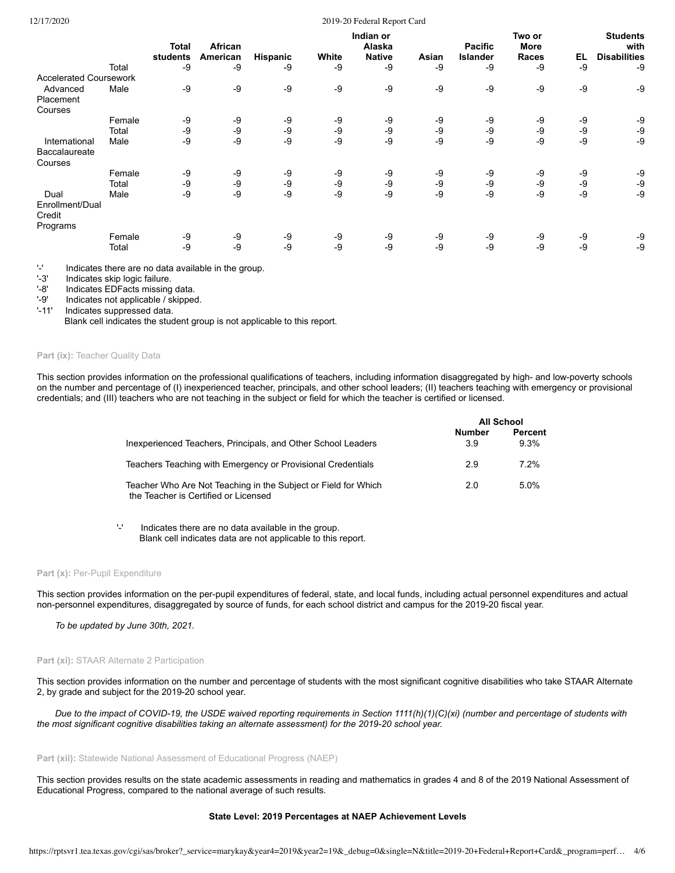#### 12/17/2020 2019-20 Federal Report Card

|                                               |        | Total<br>students | African<br>American | <b>Hispanic</b> | White | Indian or<br>Alaska<br><b>Native</b> | Asian | <b>Pacific</b><br><b>Islander</b> | Two or<br><b>More</b><br><b>Races</b> | EL   | <b>Students</b><br>with<br><b>Disabilities</b> |
|-----------------------------------------------|--------|-------------------|---------------------|-----------------|-------|--------------------------------------|-------|-----------------------------------|---------------------------------------|------|------------------------------------------------|
|                                               | Total  | -9                | -9                  | -9              | -9    | -9                                   | -9    | -9                                | -9                                    | -9   | -9                                             |
| <b>Accelerated Coursework</b>                 |        |                   |                     |                 |       |                                      |       |                                   |                                       |      |                                                |
| Advanced                                      | Male   | -9                | -9                  | $-9$            | -9    | -9                                   | -9    | -9                                | -9                                    | -9   | -9                                             |
| Placement                                     |        |                   |                     |                 |       |                                      |       |                                   |                                       |      |                                                |
| Courses                                       |        |                   |                     |                 |       |                                      |       |                                   |                                       |      |                                                |
|                                               | Female | -9                | -9                  | -9              | -9    | -9                                   | -9    | -9                                | -9                                    | -9   | -9                                             |
|                                               | Total  | -9                | -9                  | -9              | -9    | -9                                   | -9    | -9                                | $-9$                                  | -9   | -9                                             |
| International                                 | Male   | -9                | -9                  | $-9$            | -9    | -9                                   | -9    | -9                                | -9                                    | $-9$ | -9                                             |
| Baccalaureate<br>Courses                      |        |                   |                     |                 |       |                                      |       |                                   |                                       |      |                                                |
|                                               | Female | -9                | -9                  | -9              | -9    | -9                                   | -9    | -9                                | -9                                    | -9   | -9                                             |
|                                               | Total  | -9                | -9                  | $-9$            | -9    | -9                                   | -9    | -9                                | $-9$                                  | -9   | -9                                             |
| Dual<br>Enrollment/Dual<br>Credit<br>Programs | Male   | -9                | -9                  | $-9$            | -9    | -9                                   | $-9$  | -9                                | -9                                    | $-9$ | $-9$                                           |
|                                               | Female | -9                | -9                  | -9              | -9    | -9                                   | -9    | -9                                | -9                                    | -9   | -9                                             |
|                                               | Total  | -9                | -9                  | $-9$            | -9    | -9                                   | -9    | -9                                | -9                                    | -9   | -9                                             |

 $'$ -' Indicates there are no data available in the group.<br>'-3' Indicates skip logic failure.

'-3' Indicates skip logic failure.<br>'-8' Indicates EDFacts missing

Indicates EDFacts missing data.

'-9' Indicates not applicable / skipped.<br>'-11' Indicates suppressed data.

Indicates suppressed data.

Blank cell indicates the student group is not applicable to this report.

#### Part (ix): Teacher Quality Data

This section provides information on the professional qualifications of teachers, including information disaggregated by high- and low-poverty schools on the number and percentage of (I) inexperienced teacher, principals, and other school leaders; (II) teachers teaching with emergency or provisional credentials; and (III) teachers who are not teaching in the subject or field for which the teacher is certified or licensed.

|                                                                                                        |                      | <b>All School</b> |
|--------------------------------------------------------------------------------------------------------|----------------------|-------------------|
| Inexperienced Teachers, Principals, and Other School Leaders                                           | <b>Number</b><br>3.9 | Percent<br>9.3%   |
| Teachers Teaching with Emergency or Provisional Credentials                                            | 2.9                  | 7.2%              |
| Teacher Who Are Not Teaching in the Subject or Field for Which<br>the Teacher is Certified or Licensed | 2.0                  | $5.0\%$           |

'-' Indicates there are no data available in the group. Blank cell indicates data are not applicable to this report.

#### Part (x): Per-Pupil Expenditure

This section provides information on the per-pupil expenditures of federal, state, and local funds, including actual personnel expenditures and actual non-personnel expenditures, disaggregated by source of funds, for each school district and campus for the 2019-20 fiscal year.

*To be updated by June 30th, 2021.*

## Part (xi): STAAR Alternate 2 Participation

This section provides information on the number and percentage of students with the most significant cognitive disabilities who take STAAR Alternate 2, by grade and subject for the 2019-20 school year.

*Due to the impact of COVID-19, the USDE waived reporting requirements in Section 1111(h)(1)(C)(xi) (number and percentage of students with the most significant cognitive disabilities taking an alternate assessment) for the 2019-20 school year.*

#### Part (xii): Statewide National Assessment of Educational Progress (NAEP)

This section provides results on the state academic assessments in reading and mathematics in grades 4 and 8 of the 2019 National Assessment of Educational Progress, compared to the national average of such results.

#### **State Level: 2019 Percentages at NAEP Achievement Levels**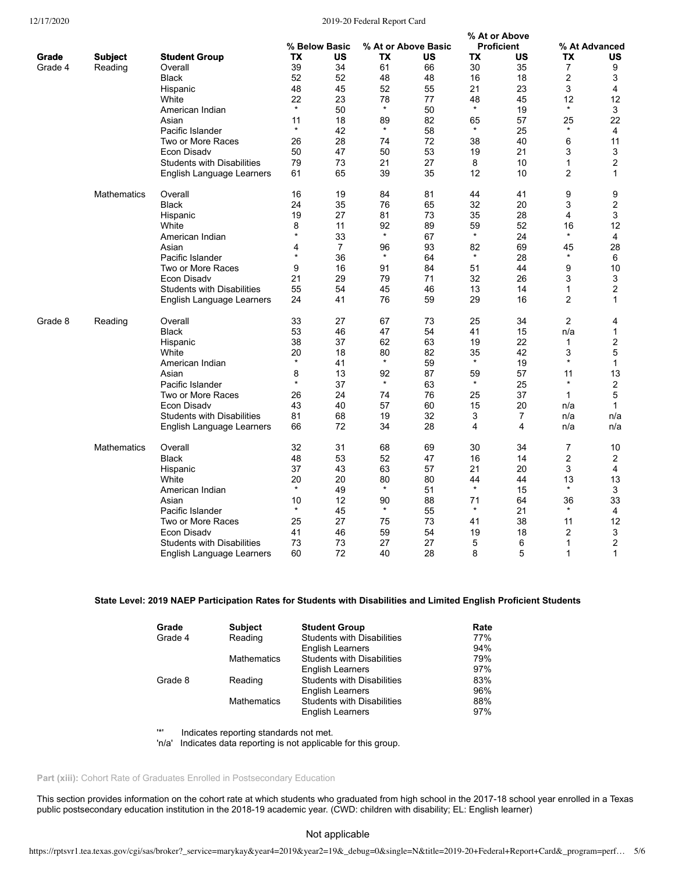## 12/17/2020 2019-20 Federal Report Card

|         |                    |                                   |           |                |         |                     |           | % At or Above     |                |                         |
|---------|--------------------|-----------------------------------|-----------|----------------|---------|---------------------|-----------|-------------------|----------------|-------------------------|
|         |                    |                                   |           | % Below Basic  |         | % At or Above Basic |           | <b>Proficient</b> |                | % At Advanced           |
| Grade   | <b>Subject</b>     | <b>Student Group</b>              | <b>TX</b> | <b>US</b>      | ТX      | US                  | <b>TX</b> | US                | ТX             | US                      |
| Grade 4 | Reading            | Overall                           | 39        | 34             | 61      | 66                  | 30        | 35                | 7              | 9                       |
|         |                    | <b>Black</b>                      | 52        | 52             | 48      | 48                  | 16        | 18                | 2              | 3                       |
|         |                    | Hispanic                          | 48        | 45             | 52      | 55                  | 21        | 23                | 3              | 4                       |
|         |                    | White                             | 22        | 23             | 78      | 77                  | 48        | 45                | 12             | 12                      |
|         |                    | American Indian                   | $\star$   | 50             | $\star$ | 50                  | $\star$   | 19                | $\star$        | 3                       |
|         |                    | Asian                             | 11        | 18             | 89      | 82                  | 65        | 57                | 25             | 22                      |
|         |                    | Pacific Islander                  | $\ast$    | 42             | $\star$ | 58                  | $\star$   | 25                | $\ast$         | 4                       |
|         |                    | Two or More Races                 | 26        | 28             | 74      | 72                  | 38        | 40                | 6              | 11                      |
|         |                    | Econ Disadv                       | 50        | 47             | 50      | 53                  | 19        | 21                | 3              | 3                       |
|         |                    | <b>Students with Disabilities</b> | 79        | 73             | 21      | 27                  | 8         | 10                | 1              | $\overline{\mathbf{c}}$ |
|         |                    | English Language Learners         | 61        | 65             | 39      | 35                  | 12        | 10                | 2              | $\mathbf{1}$            |
|         | <b>Mathematics</b> | Overall                           | 16        | 19             | 84      | 81                  | 44        | 41                | 9              | 9                       |
|         |                    | <b>Black</b>                      | 24        | 35             | 76      | 65                  | 32        | 20                | 3              | $\overline{\mathbf{c}}$ |
|         |                    | Hispanic                          | 19        | 27             | 81      | 73                  | 35        | 28                | 4              | 3                       |
|         |                    | White                             | 8         | 11             | 92      | 89                  | 59        | 52                | 16             | 12                      |
|         |                    | American Indian                   | $\star$   | 33             | $\ast$  | 67                  | $\star$   | 24                | $\star$        | 4                       |
|         |                    | Asian                             | 4         | $\overline{7}$ | 96      | 93                  | 82        | 69                | 45             | 28                      |
|         |                    | Pacific Islander                  | $\star$   | 36             | $\star$ | 64                  | $\star$   | 28                | $\star$        | 6                       |
|         |                    | Two or More Races                 | 9         | 16             | 91      | 84                  | 51        | 44                | 9              | 10                      |
|         |                    | Econ Disadv                       | 21        | 29             | 79      | 71                  | 32        | 26                | 3              | 3                       |
|         |                    | <b>Students with Disabilities</b> | 55        | 54             | 45      | 46                  | 13        | 14                | 1              | $\overline{2}$          |
|         |                    | English Language Learners         | 24        | 41             | 76      | 59                  | 29        | 16                | $\overline{c}$ | $\mathbf{1}$            |
| Grade 8 | Reading            | Overall                           | 33        | 27             | 67      | 73                  | 25        | 34                | 2              | 4                       |
|         |                    | <b>Black</b>                      | 53        | 46             | 47      | 54                  | 41        | 15                | n/a            | $\mathbf{1}$            |
|         |                    | Hispanic                          | 38        | 37             | 62      | 63                  | 19        | 22                | $\mathbf{1}$   | 2                       |
|         |                    | White                             | 20        | 18             | 80      | 82                  | 35        | 42                | 3              | 5                       |
|         |                    | American Indian                   | $\star$   | 41             | $\star$ | 59                  | $\star$   | 19                | $\star$        | $\mathbf 1$             |
|         |                    | Asian                             | 8         | 13             | 92      | 87                  | 59        | 57                | 11             | 13                      |
|         |                    | Pacific Islander                  | $\star$   | 37             | $\star$ | 63                  | $\star$   | 25                | $\star$        | $\overline{\mathbf{c}}$ |
|         |                    | Two or More Races                 | 26        | 24             | 74      | 76                  | 25        | 37                | $\mathbf{1}$   | 5                       |
|         |                    | Econ Disadv                       | 43        | 40             | 57      | 60                  | 15        | 20                | n/a            | $\mathbf 1$             |
|         |                    | <b>Students with Disabilities</b> | 81        | 68             | 19      | 32                  | 3         | $\overline{7}$    | n/a            | n/a                     |
|         |                    | English Language Learners         | 66        | 72             | 34      | 28                  | 4         | 4                 | n/a            | n/a                     |
|         | Mathematics        | Overall                           | 32        | 31             | 68      | 69                  | 30        | 34                | 7              | 10                      |
|         |                    | <b>Black</b>                      | 48        | 53             | 52      | 47                  | 16        | 14                | 2              | 2                       |
|         |                    | Hispanic                          | 37        | 43             | 63      | 57                  | 21        | 20                | 3              | $\overline{4}$          |
|         |                    | White                             | 20        | 20             | 80      | 80                  | 44        | 44                | 13             | 13                      |
|         |                    | American Indian                   | $\star$   | 49             | $\star$ | 51                  | $\star$   | 15                | $\star$        | 3                       |
|         |                    | Asian                             | 10        | 12             | 90      | 88                  | 71        | 64                | 36             | 33                      |
|         |                    | Pacific Islander                  | $\star$   | 45             | $\star$ | 55                  | $\star$   | 21                | $\star$        | 4                       |
|         |                    | Two or More Races                 | 25        | 27             | 75      | 73                  | 41        | 38                | 11             | 12                      |
|         |                    | Econ Disadv                       | 41        | 46             | 59      | 54                  | 19        | 18                | 2              | 3                       |
|         |                    | <b>Students with Disabilities</b> | 73        | 73             | 27      | 27                  | 5         | 6                 | 1              | $\overline{2}$          |
|         |                    | English Language Learners         | 60        | 72             | 40      | 28                  | 8         | 5                 | 1              | $\mathbf{1}$            |

# **State Level: 2019 NAEP Participation Rates for Students with Disabilities and Limited English Proficient Students**

| Grade   | <b>Subject</b>     | <b>Student Group</b>              | Rate |
|---------|--------------------|-----------------------------------|------|
| Grade 4 | Reading            | <b>Students with Disabilities</b> | 77%  |
|         |                    | <b>English Learners</b>           | 94%  |
|         | <b>Mathematics</b> | <b>Students with Disabilities</b> | 79%  |
|         |                    | <b>English Learners</b>           | 97%  |
| Grade 8 | Reading            | <b>Students with Disabilities</b> | 83%  |
|         |                    | <b>English Learners</b>           | 96%  |
|         | <b>Mathematics</b> | <b>Students with Disabilities</b> | 88%  |
|         |                    | <b>English Learners</b>           | 97%  |

'\*' Indicates reporting standards not met.

'n/a' Indicates data reporting is not applicable for this group.

# Part (xiii): Cohort Rate of Graduates Enrolled in Postsecondary Education

This section provides information on the cohort rate at which students who graduated from high school in the 2017-18 school year enrolled in a Texas public postsecondary education institution in the 2018-19 academic year. (CWD: children with disability; EL: English learner)

# Not applicable